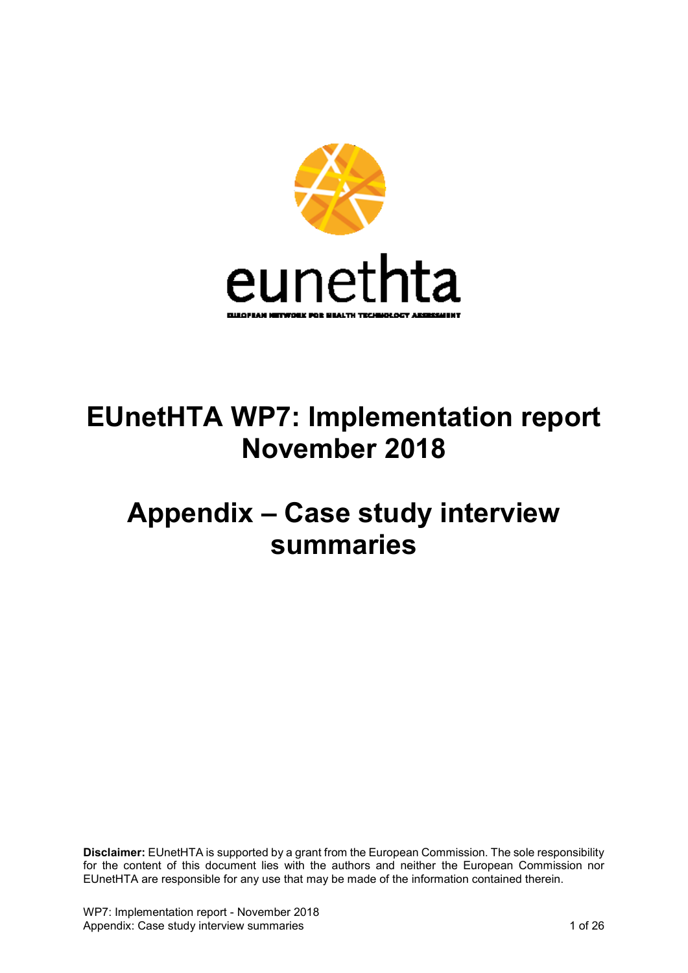

# **EUnetHTA WP7: Implementation report November 2018**

# **Appendix – Case study interview summaries**

**Disclaimer:** EUnetHTA is supported by a grant from the European Commission. The sole responsibility for the content of this document lies with the authors and neither the European Commission nor EUnetHTA are responsible for any use that may be made of the information contained therein.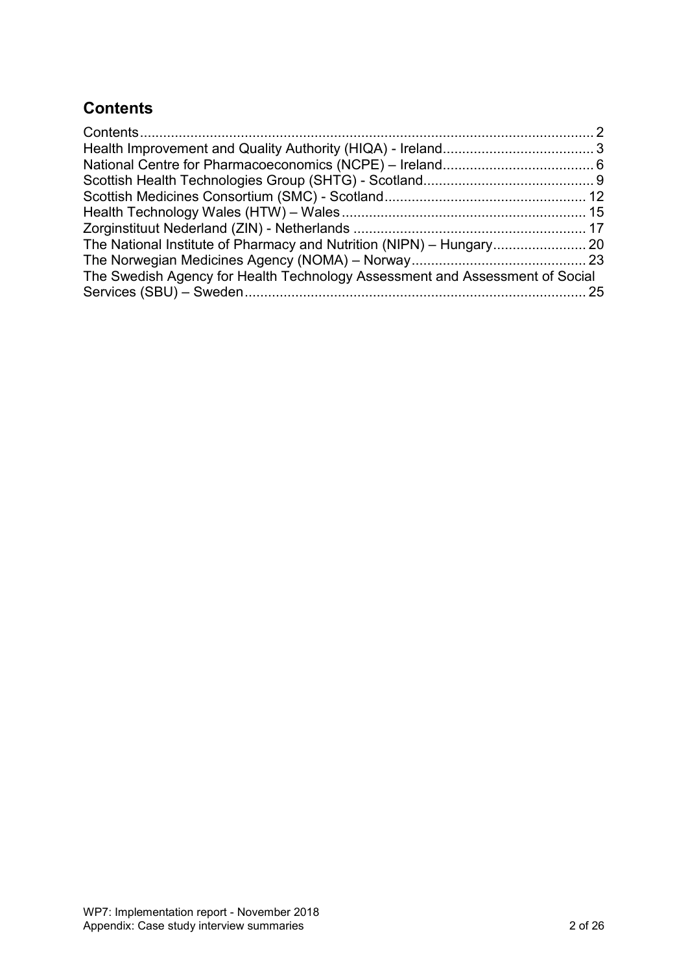# <span id="page-1-0"></span>**Contents**

| The Swedish Agency for Health Technology Assessment and Assessment of Social |  |
|------------------------------------------------------------------------------|--|
|                                                                              |  |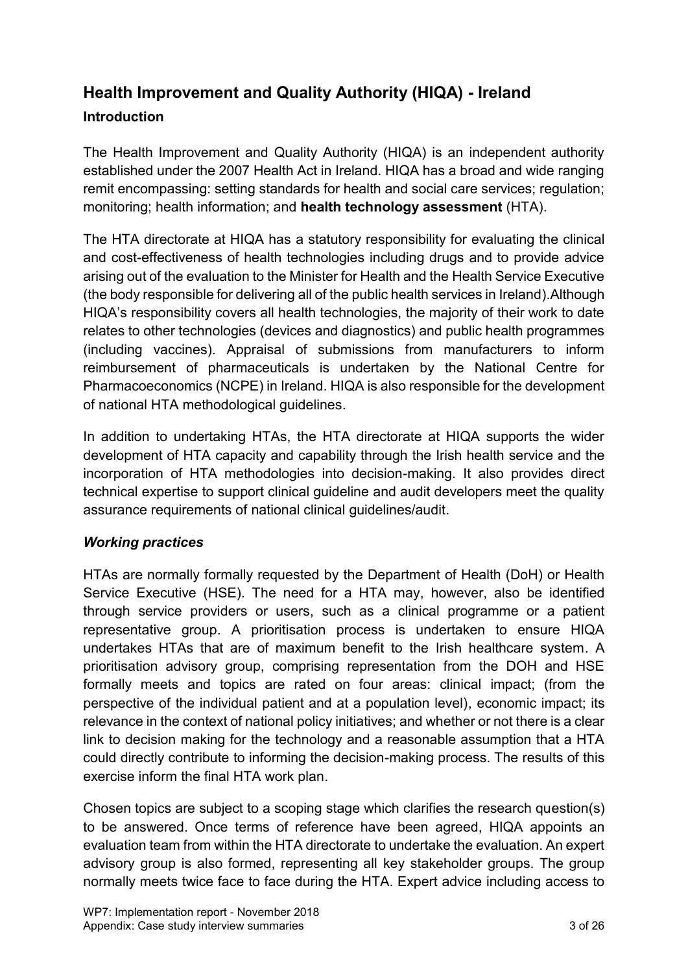# <span id="page-2-0"></span>**Health Improvement and Quality Authority (HIQA) - Ireland Introduction**

The Health Improvement and Quality Authority (HIQA) is an independent authority established under the 2007 Health Act in Ireland. HIQA has a broad and wide ranging remit encompassing: setting standards for health and social care services; regulation; monitoring; health information; and **health technology assessment** (HTA).

The HTA directorate at HIQA has a statutory responsibility for evaluating the clinical and cost-effectiveness of health technologies including drugs and to provide advice arising out of the evaluation to the Minister for Health and the Health Service Executive (the body responsible for delivering all of the public health services in Ireland).Although HIQA's responsibility covers all health technologies, the majority of their work to date relates to other technologies (devices and diagnostics) and public health programmes (including vaccines). Appraisal of submissions from manufacturers to inform reimbursement of pharmaceuticals is undertaken by the National Centre for Pharmacoeconomics (NCPE) in Ireland. HIQA is also responsible for the development of national HTA methodological guidelines.

In addition to undertaking HTAs, the HTA directorate at HIQA supports the wider development of HTA capacity and capability through the Irish health service and the incorporation of HTA methodologies into decision-making. It also provides direct technical expertise to support clinical guideline and audit developers meet the quality assurance requirements of national clinical guidelines/audit.

# *Working practices*

HTAs are normally formally requested by the Department of Health (DoH) or Health Service Executive (HSE). The need for a HTA may, however, also be identified through service providers or users, such as a clinical programme or a patient representative group. A prioritisation process is undertaken to ensure HIQA undertakes HTAs that are of maximum benefit to the Irish healthcare system. A prioritisation advisory group, comprising representation from the DOH and HSE formally meets and topics are rated on four areas: clinical impact; (from the perspective of the individual patient and at a population level), economic impact; its relevance in the context of national policy initiatives; and whether or not there is a clear link to decision making for the technology and a reasonable assumption that a HTA could directly contribute to informing the decision-making process. The results of this exercise inform the final HTA work plan.

Chosen topics are subject to a scoping stage which clarifies the research question(s) to be answered. Once terms of reference have been agreed, HIQA appoints an evaluation team from within the HTA directorate to undertake the evaluation. An expert advisory group is also formed, representing all key stakeholder groups. The group normally meets twice face to face during the HTA. Expert advice including access to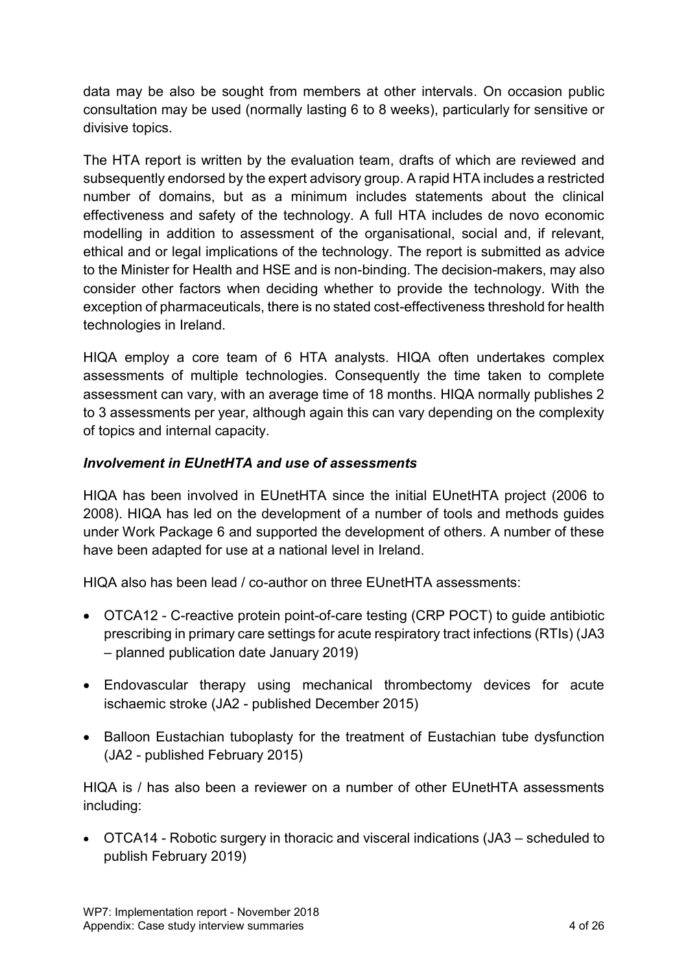data may be also be sought from members at other intervals. On occasion public consultation may be used (normally lasting 6 to 8 weeks), particularly for sensitive or divisive topics.

The HTA report is written by the evaluation team, drafts of which are reviewed and subsequently endorsed by the expert advisory group. A rapid HTA includes a restricted number of domains, but as a minimum includes statements about the clinical effectiveness and safety of the technology. A full HTA includes de novo economic modelling in addition to assessment of the organisational, social and, if relevant, ethical and or legal implications of the technology. The report is submitted as advice to the Minister for Health and HSE and is non-binding. The decision-makers, may also consider other factors when deciding whether to provide the technology. With the exception of pharmaceuticals, there is no stated cost-effectiveness threshold for health technologies in Ireland.

HIQA employ a core team of 6 HTA analysts. HIQA often undertakes complex assessments of multiple technologies. Consequently the time taken to complete assessment can vary, with an average time of 18 months. HIQA normally publishes 2 to 3 assessments per year, although again this can vary depending on the complexity of topics and internal capacity.

# *Involvement in EUnetHTA and use of assessments*

HIQA has been involved in EUnetHTA since the initial EUnetHTA project (2006 to 2008). HIQA has led on the development of a number of tools and methods guides under Work Package 6 and supported the development of others. A number of these have been adapted for use at a national level in Ireland.

HIQA also has been lead / co-author on three EUnetHTA assessments:

- OTCA12 C-reactive protein point-of-care testing (CRP POCT) to guide antibiotic prescribing in primary care settings for acute respiratory tract infections (RTIs) (JA3 – planned publication date January 2019)
- Endovascular therapy using mechanical thrombectomy devices for acute ischaemic stroke (JA2 - published December 2015)
- Balloon Eustachian tuboplasty for the treatment of Eustachian tube dysfunction (JA2 - published February 2015)

HIQA is / has also been a reviewer on a number of other EUnetHTA assessments including:

 OTCA14 - Robotic surgery in thoracic and visceral indications (JA3 – scheduled to publish February 2019)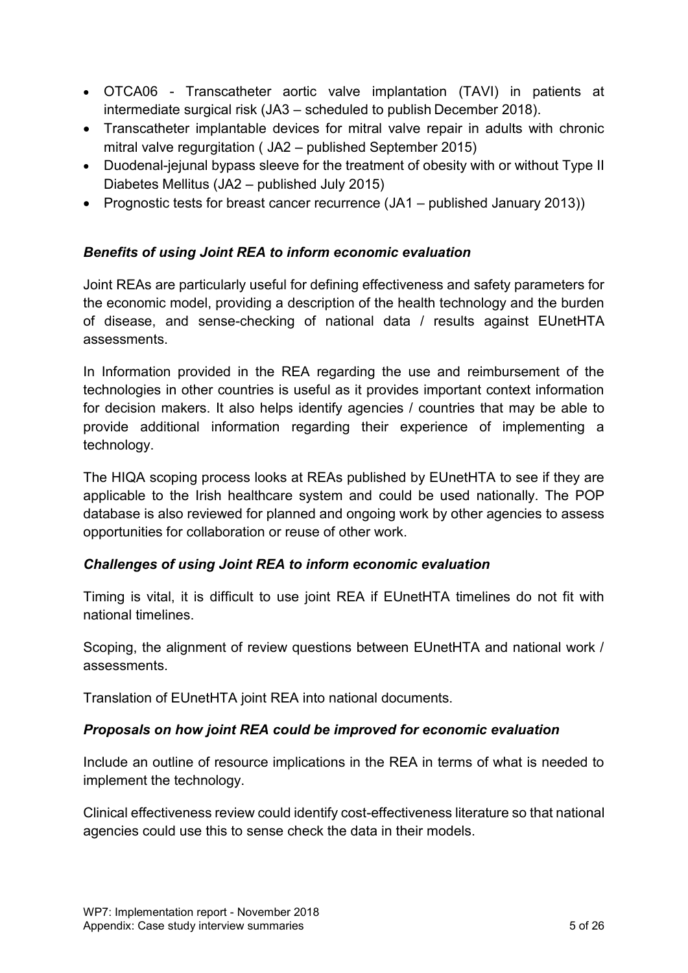- OTCA06 Transcatheter aortic valve implantation (TAVI) in patients at intermediate surgical risk (JA3 – scheduled to publish December 2018).
- Transcatheter implantable devices for mitral valve repair in adults with chronic mitral valve regurgitation ( JA2 – published September 2015)
- Duodenal-jejunal bypass sleeve for the treatment of obesity with or without Type II Diabetes Mellitus (JA2 – published July 2015)
- Prognostic tests for breast cancer recurrence (JA1 published January 2013))

# *Benefits of using Joint REA to inform economic evaluation*

Joint REAs are particularly useful for defining effectiveness and safety parameters for the economic model, providing a description of the health technology and the burden of disease, and sense-checking of national data / results against EUnetHTA assessments.

In Information provided in the REA regarding the use and reimbursement of the technologies in other countries is useful as it provides important context information for decision makers. It also helps identify agencies / countries that may be able to provide additional information regarding their experience of implementing a technology.

The HIQA scoping process looks at REAs published by EUnetHTA to see if they are applicable to the Irish healthcare system and could be used nationally. The POP database is also reviewed for planned and ongoing work by other agencies to assess opportunities for collaboration or reuse of other work.

# *Challenges of using Joint REA to inform economic evaluation*

Timing is vital, it is difficult to use joint REA if EUnetHTA timelines do not fit with national timelines.

Scoping, the alignment of review questions between EUnetHTA and national work / assessments.

Translation of EUnetHTA joint REA into national documents.

# *Proposals on how joint REA could be improved for economic evaluation*

Include an outline of resource implications in the REA in terms of what is needed to implement the technology.

Clinical effectiveness review could identify cost-effectiveness literature so that national agencies could use this to sense check the data in their models.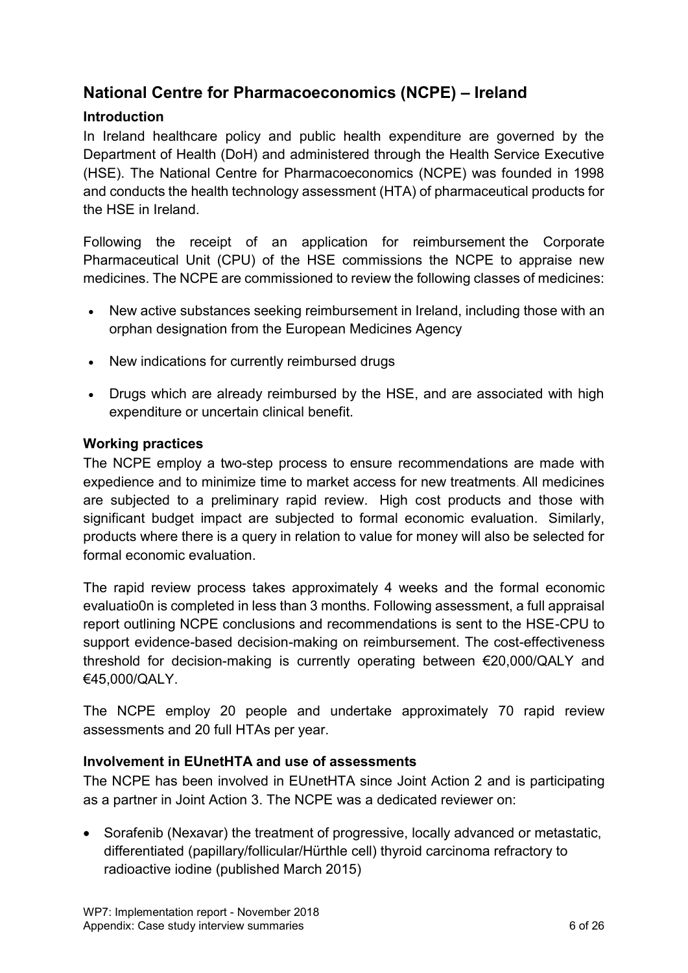# <span id="page-5-0"></span>**National Centre for Pharmacoeconomics (NCPE) – Ireland**

# **Introduction**

In Ireland healthcare policy and public health expenditure are governed by the Department of Health (DoH) and administered through the Health Service Executive (HSE). The National Centre for Pharmacoeconomics (NCPE) was founded in 1998 and conducts the health technology assessment (HTA) of pharmaceutical products for the HSE in Ireland.

Following the receipt of an application for reimbursement the Corporate Pharmaceutical Unit (CPU) of the HSE commissions the NCPE to appraise new medicines. The NCPE are commissioned to review the following classes of medicines:

- New active substances seeking reimbursement in Ireland, including those with an orphan designation from the European Medicines Agency
- New indications for currently reimbursed drugs
- Drugs which are already reimbursed by the HSE, and are associated with high expenditure or uncertain clinical benefit.

#### **Working practices**

The NCPE employ a two-step process to ensure recommendations are made with expedience and to minimize time to market access for new treatments. All medicines are subjected to a preliminary rapid review. High cost products and those with significant budget impact are subjected to formal economic evaluation. Similarly, products where there is a query in relation to value for money will also be selected for formal economic evaluation.

The rapid review process takes approximately 4 weeks and the formal economic evaluatio0n is completed in less than 3 months. Following assessment, a full appraisal report outlining NCPE conclusions and recommendations is sent to the HSE-CPU to support evidence-based decision-making on reimbursement. The cost-effectiveness threshold for decision-making is currently operating between €20,000/QALY and €45,000/QALY.

The NCPE employ 20 people and undertake approximately 70 rapid review assessments and 20 full HTAs per year.

# **Involvement in EUnetHTA and use of assessments**

The NCPE has been involved in EUnetHTA since Joint Action 2 and is participating as a partner in Joint Action 3. The NCPE was a dedicated reviewer on:

 Sorafenib (Nexavar) the treatment of progressive, locally advanced or metastatic, differentiated (papillary/follicular/Hürthle cell) thyroid carcinoma refractory to radioactive iodine (published March 2015)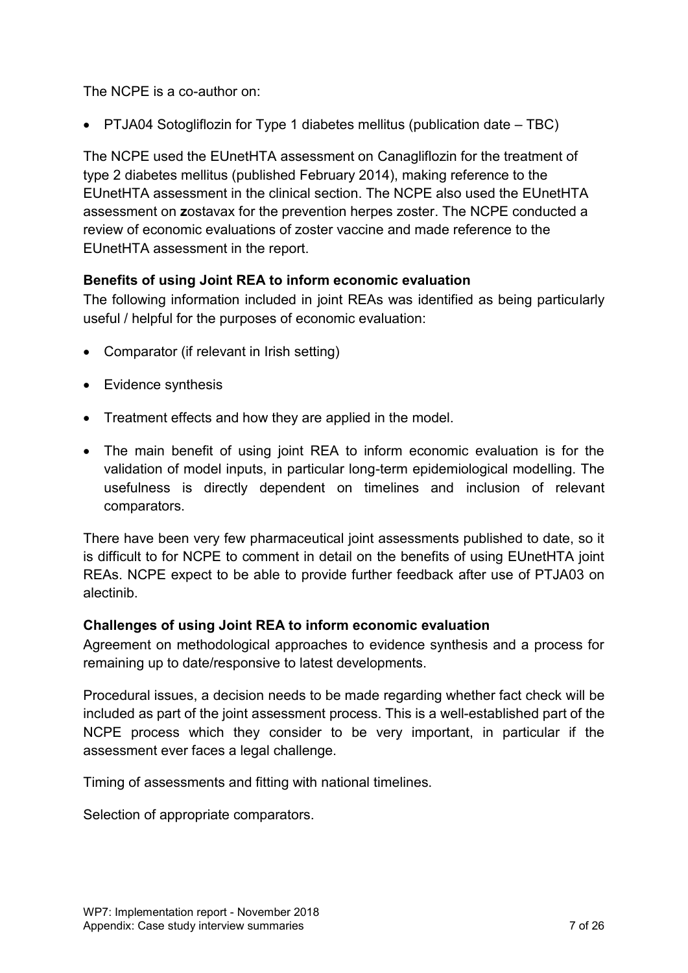The NCPE is a co-author on:

PTJA04 Sotogliflozin for Type 1 diabetes mellitus (publication date – TBC)

The NCPE used the EUnetHTA assessment on Canagliflozin for the treatment of type 2 diabetes mellitus (published February 2014), making reference to the EUnetHTA assessment in the clinical section. The NCPE also used the EUnetHTA assessment on **z**ostavax for the prevention herpes zoster. The NCPE conducted a review of economic evaluations of zoster vaccine and made reference to the EUnetHTA assessment in the report.

# **Benefits of using Joint REA to inform economic evaluation**

The following information included in joint REAs was identified as being particularly useful / helpful for the purposes of economic evaluation:

- Comparator (if relevant in Irish setting)
- Evidence synthesis
- Treatment effects and how they are applied in the model.
- The main benefit of using joint REA to inform economic evaluation is for the validation of model inputs, in particular long-term epidemiological modelling. The usefulness is directly dependent on timelines and inclusion of relevant comparators.

There have been very few pharmaceutical joint assessments published to date, so it is difficult to for NCPE to comment in detail on the benefits of using EUnetHTA joint REAs. NCPE expect to be able to provide further feedback after use of PTJA03 on alectinib.

# **Challenges of using Joint REA to inform economic evaluation**

Agreement on methodological approaches to evidence synthesis and a process for remaining up to date/responsive to latest developments.

Procedural issues, a decision needs to be made regarding whether fact check will be included as part of the joint assessment process. This is a well-established part of the NCPE process which they consider to be very important, in particular if the assessment ever faces a legal challenge.

Timing of assessments and fitting with national timelines.

Selection of appropriate comparators.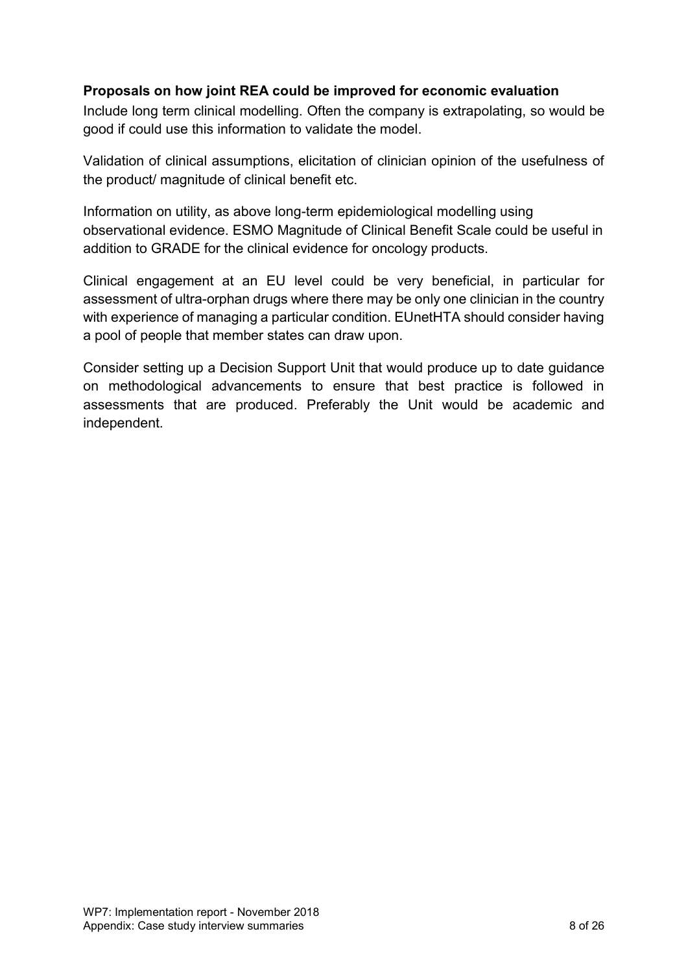# **Proposals on how joint REA could be improved for economic evaluation**

Include long term clinical modelling. Often the company is extrapolating, so would be good if could use this information to validate the model.

Validation of clinical assumptions, elicitation of clinician opinion of the usefulness of the product/ magnitude of clinical benefit etc.

Information on utility, as above long-term epidemiological modelling using observational evidence. ESMO Magnitude of Clinical Benefit Scale could be useful in addition to GRADE for the clinical evidence for oncology products.

Clinical engagement at an EU level could be very beneficial, in particular for assessment of ultra-orphan drugs where there may be only one clinician in the country with experience of managing a particular condition. EUnetHTA should consider having a pool of people that member states can draw upon.

Consider setting up a Decision Support Unit that would produce up to date guidance on methodological advancements to ensure that best practice is followed in assessments that are produced. Preferably the Unit would be academic and independent.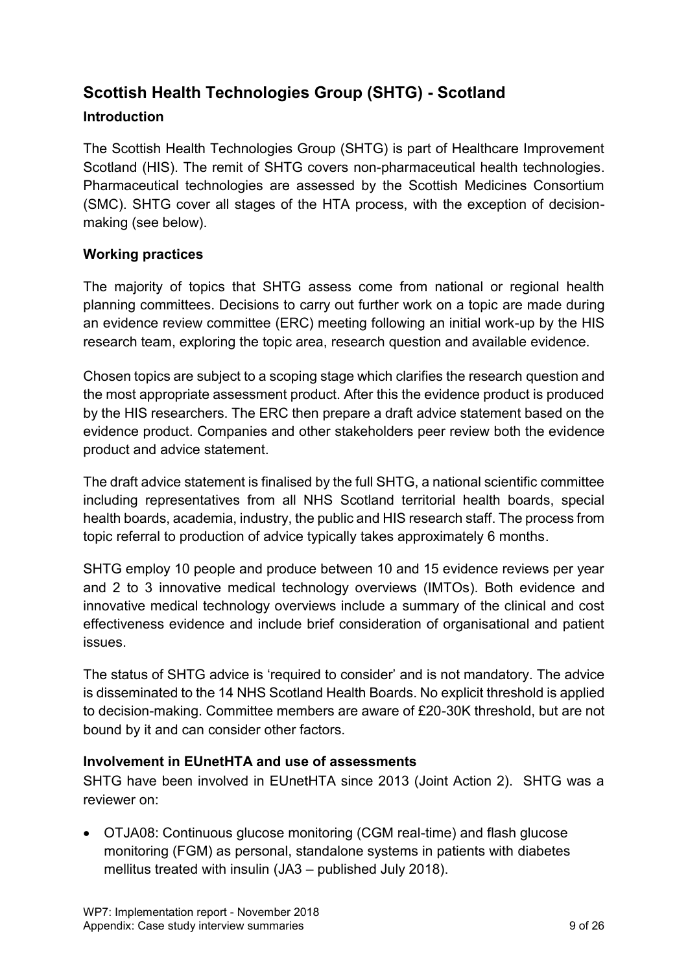# <span id="page-8-0"></span>**Scottish Health Technologies Group (SHTG) - Scotland**

# **Introduction**

The Scottish Health Technologies Group (SHTG) is part of Healthcare Improvement Scotland (HIS). The remit of SHTG covers non-pharmaceutical health technologies. Pharmaceutical technologies are assessed by the Scottish Medicines Consortium (SMC). SHTG cover all stages of the HTA process, with the exception of decisionmaking (see below).

# **Working practices**

The majority of topics that SHTG assess come from national or regional health planning committees. Decisions to carry out further work on a topic are made during an evidence review committee (ERC) meeting following an initial work-up by the HIS research team, exploring the topic area, research question and available evidence.

Chosen topics are subject to a scoping stage which clarifies the research question and the most appropriate assessment product. After this the evidence product is produced by the HIS researchers. The ERC then prepare a draft advice statement based on the evidence product. Companies and other stakeholders peer review both the evidence product and advice statement.

The draft advice statement is finalised by the full SHTG, a national scientific committee including representatives from all NHS Scotland territorial health boards, special health boards, academia, industry, the public and HIS research staff. The process from topic referral to production of advice typically takes approximately 6 months.

SHTG employ 10 people and produce between 10 and 15 evidence reviews per year and 2 to 3 innovative medical technology overviews (IMTOs). Both evidence and innovative medical technology overviews include a summary of the clinical and cost effectiveness evidence and include brief consideration of organisational and patient issues.

The status of SHTG advice is 'required to consider' and is not mandatory. The advice is disseminated to the 14 NHS Scotland Health Boards. No explicit threshold is applied to decision-making. Committee members are aware of £20-30K threshold, but are not bound by it and can consider other factors.

# **Involvement in EUnetHTA and use of assessments**

SHTG have been involved in EUnetHTA since 2013 (Joint Action 2). SHTG was a reviewer on:

 OTJA08: Continuous glucose monitoring (CGM real-time) and flash glucose monitoring (FGM) as personal, standalone systems in patients with diabetes mellitus treated with insulin (JA3 – published July 2018).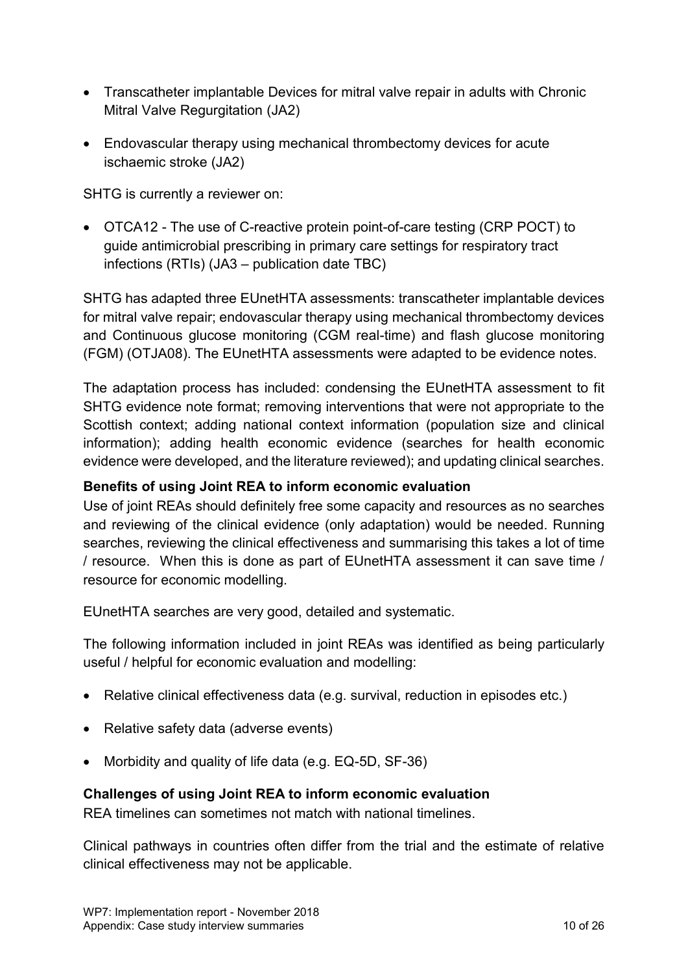- Transcatheter implantable Devices for mitral valve repair in adults with Chronic Mitral Valve Regurgitation (JA2)
- Endovascular therapy using mechanical thrombectomy devices for acute ischaemic stroke (JA2)

SHTG is currently a reviewer on:

 OTCA12 - The use of C-reactive protein point-of-care testing (CRP POCT) to guide antimicrobial prescribing in primary care settings for respiratory tract infections (RTIs) (JA3 – publication date TBC)

SHTG has adapted three EUnetHTA assessments: transcatheter implantable devices for mitral valve repair; endovascular therapy using mechanical thrombectomy devices and Continuous glucose monitoring (CGM real-time) and flash glucose monitoring (FGM) (OTJA08). The EUnetHTA assessments were adapted to be evidence notes.

The adaptation process has included: condensing the EUnetHTA assessment to fit SHTG evidence note format; removing interventions that were not appropriate to the Scottish context; adding national context information (population size and clinical information); adding health economic evidence (searches for health economic evidence were developed, and the literature reviewed); and updating clinical searches.

#### **Benefits of using Joint REA to inform economic evaluation**

Use of joint REAs should definitely free some capacity and resources as no searches and reviewing of the clinical evidence (only adaptation) would be needed. Running searches, reviewing the clinical effectiveness and summarising this takes a lot of time / resource. When this is done as part of EUnetHTA assessment it can save time / resource for economic modelling.

EUnetHTA searches are very good, detailed and systematic.

The following information included in joint REAs was identified as being particularly useful / helpful for economic evaluation and modelling:

- Relative clinical effectiveness data (e.g. survival, reduction in episodes etc.)
- Relative safety data (adverse events)
- Morbidity and quality of life data (e.g. EQ-5D, SF-36)

# **Challenges of using Joint REA to inform economic evaluation**

REA timelines can sometimes not match with national timelines.

Clinical pathways in countries often differ from the trial and the estimate of relative clinical effectiveness may not be applicable.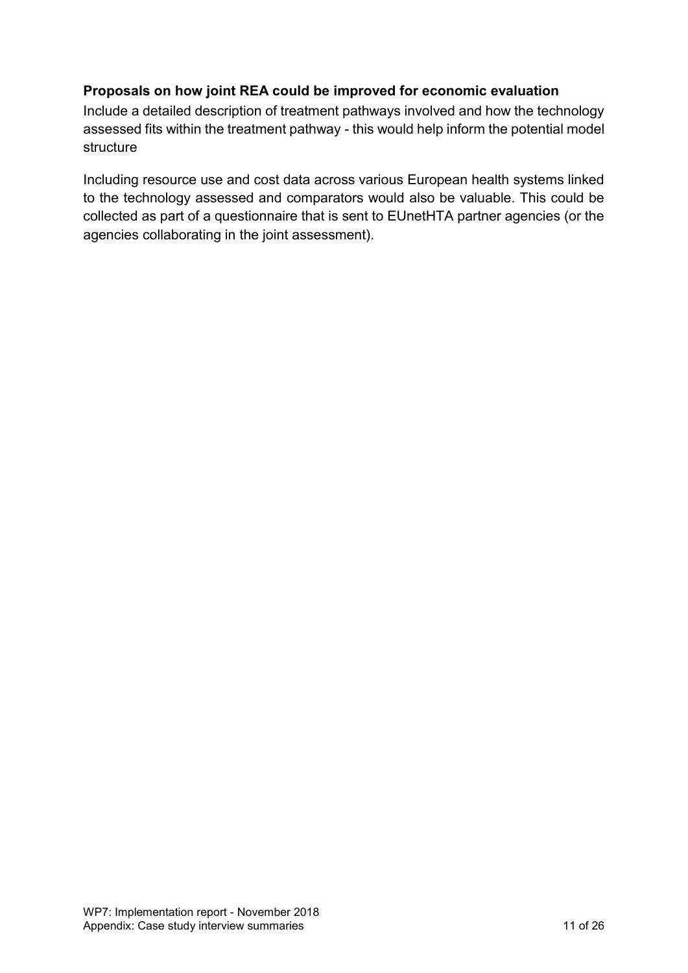# **Proposals on how joint REA could be improved for economic evaluation**

Include a detailed description of treatment pathways involved and how the technology assessed fits within the treatment pathway - this would help inform the potential model structure

Including resource use and cost data across various European health systems linked to the technology assessed and comparators would also be valuable. This could be collected as part of a questionnaire that is sent to EUnetHTA partner agencies (or the agencies collaborating in the joint assessment).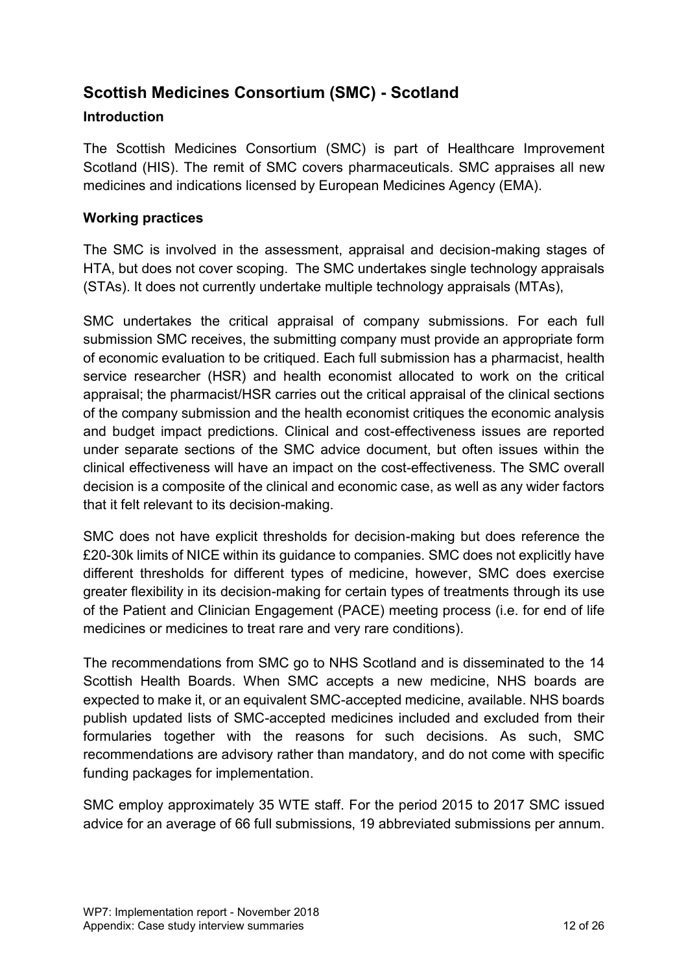# <span id="page-11-0"></span>**Scottish Medicines Consortium (SMC) - Scotland**

# **Introduction**

The Scottish Medicines Consortium (SMC) is part of Healthcare Improvement Scotland (HIS). The remit of SMC covers pharmaceuticals. SMC appraises all new medicines and indications licensed by European Medicines Agency (EMA).

# **Working practices**

The SMC is involved in the assessment, appraisal and decision-making stages of HTA, but does not cover scoping. The SMC undertakes single technology appraisals (STAs). It does not currently undertake multiple technology appraisals (MTAs),

SMC undertakes the critical appraisal of company submissions. For each full submission SMC receives, the submitting company must provide an appropriate form of economic evaluation to be critiqued. Each full submission has a pharmacist, health service researcher (HSR) and health economist allocated to work on the critical appraisal; the pharmacist/HSR carries out the critical appraisal of the clinical sections of the company submission and the health economist critiques the economic analysis and budget impact predictions. Clinical and cost-effectiveness issues are reported under separate sections of the SMC advice document, but often issues within the clinical effectiveness will have an impact on the cost-effectiveness. The SMC overall decision is a composite of the clinical and economic case, as well as any wider factors that it felt relevant to its decision-making.

SMC does not have explicit thresholds for decision-making but does reference the £20-30k limits of NICE within its guidance to companies. SMC does not explicitly have different thresholds for different types of medicine, however, SMC does exercise greater flexibility in its decision-making for certain types of treatments through its use of the Patient and Clinician Engagement (PACE) meeting process (i.e. for end of life medicines or medicines to treat rare and very rare conditions).

The recommendations from SMC go to NHS Scotland and is disseminated to the 14 Scottish Health Boards. When SMC accepts a new medicine, NHS boards are expected to make it, or an equivalent SMC-accepted medicine, available. NHS boards publish updated lists of SMC-accepted medicines included and excluded from their formularies together with the reasons for such decisions. As such, SMC recommendations are advisory rather than mandatory, and do not come with specific funding packages for implementation.

SMC employ approximately 35 WTE staff. For the period 2015 to 2017 SMC issued advice for an average of 66 full submissions, 19 abbreviated submissions per annum.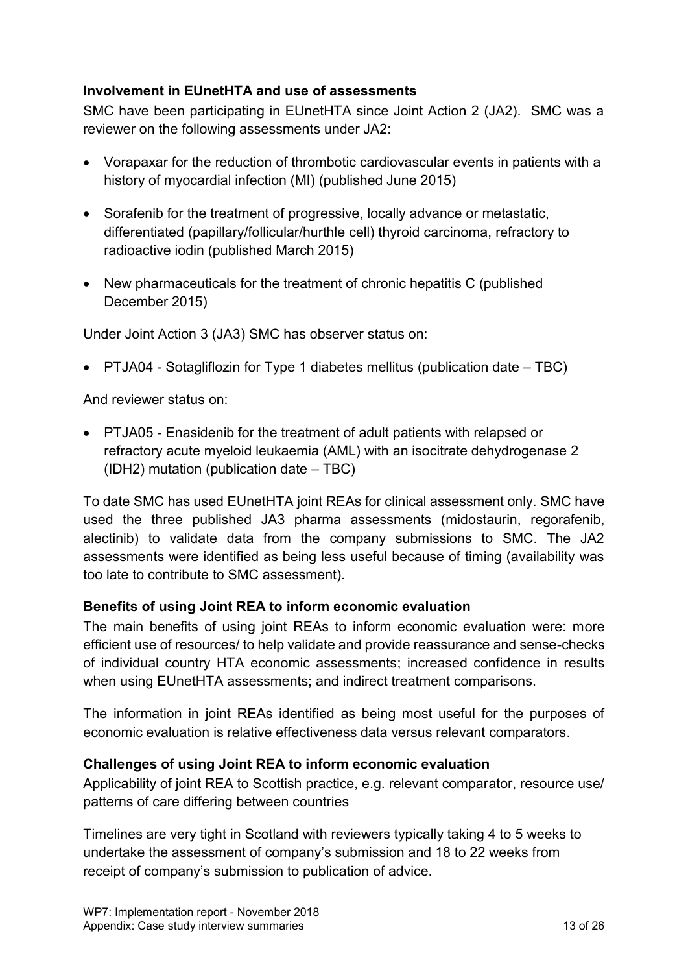# **Involvement in EUnetHTA and use of assessments**

SMC have been participating in EUnetHTA since Joint Action 2 (JA2). SMC was a reviewer on the following assessments under JA2:

- Vorapaxar for the reduction of thrombotic cardiovascular events in patients with a history of myocardial infection (MI) (published June 2015)
- Sorafenib for the treatment of progressive, locally advance or metastatic, differentiated (papillary/follicular/hurthle cell) thyroid carcinoma, refractory to radioactive iodin (published March 2015)
- New pharmaceuticals for the treatment of chronic hepatitis C (published December 2015)

Under Joint Action 3 (JA3) SMC has observer status on:

PTJA04 - Sotagliflozin for Type 1 diabetes mellitus (publication date – TBC)

And reviewer status on:

 PTJA05 - Enasidenib for the treatment of adult patients with relapsed or refractory acute myeloid leukaemia (AML) with an isocitrate dehydrogenase 2 (IDH2) mutation (publication date – TBC)

To date SMC has used EUnetHTA joint REAs for clinical assessment only. SMC have used the three published JA3 pharma assessments (midostaurin, regorafenib, alectinib) to validate data from the company submissions to SMC. The JA2 assessments were identified as being less useful because of timing (availability was too late to contribute to SMC assessment).

# **Benefits of using Joint REA to inform economic evaluation**

The main benefits of using joint REAs to inform economic evaluation were: more efficient use of resources/ to help validate and provide reassurance and sense-checks of individual country HTA economic assessments; increased confidence in results when using EUnetHTA assessments; and indirect treatment comparisons.

The information in joint REAs identified as being most useful for the purposes of economic evaluation is relative effectiveness data versus relevant comparators.

# **Challenges of using Joint REA to inform economic evaluation**

Applicability of joint REA to Scottish practice, e.g. relevant comparator, resource use/ patterns of care differing between countries

Timelines are very tight in Scotland with reviewers typically taking 4 to 5 weeks to undertake the assessment of company's submission and 18 to 22 weeks from receipt of company's submission to publication of advice.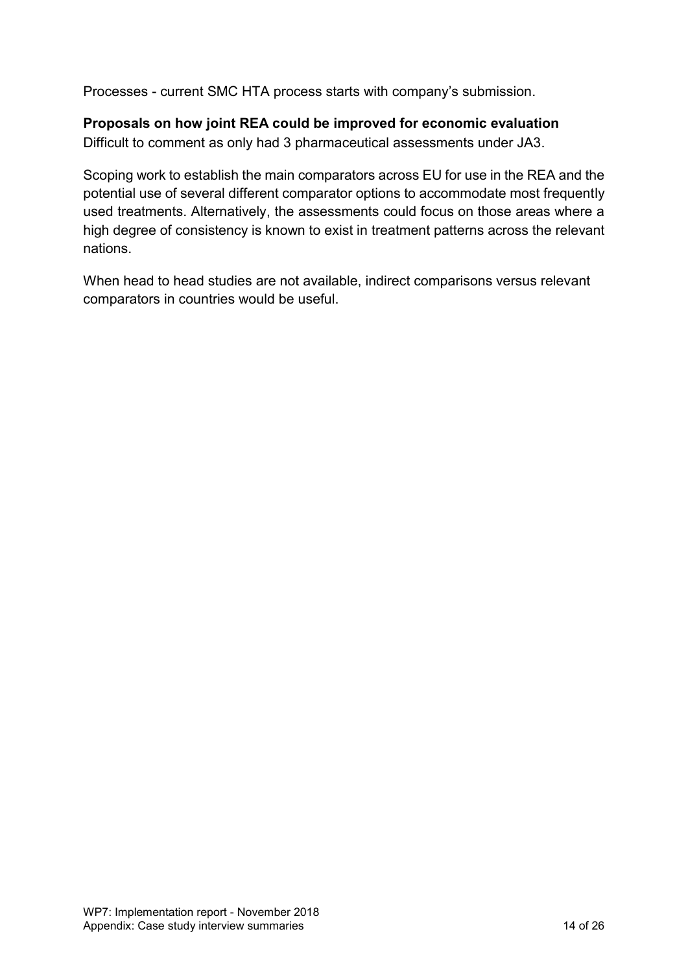Processes - current SMC HTA process starts with company's submission.

# **Proposals on how joint REA could be improved for economic evaluation**

Difficult to comment as only had 3 pharmaceutical assessments under JA3.

Scoping work to establish the main comparators across EU for use in the REA and the potential use of several different comparator options to accommodate most frequently used treatments. Alternatively, the assessments could focus on those areas where a high degree of consistency is known to exist in treatment patterns across the relevant nations.

When head to head studies are not available, indirect comparisons versus relevant comparators in countries would be useful.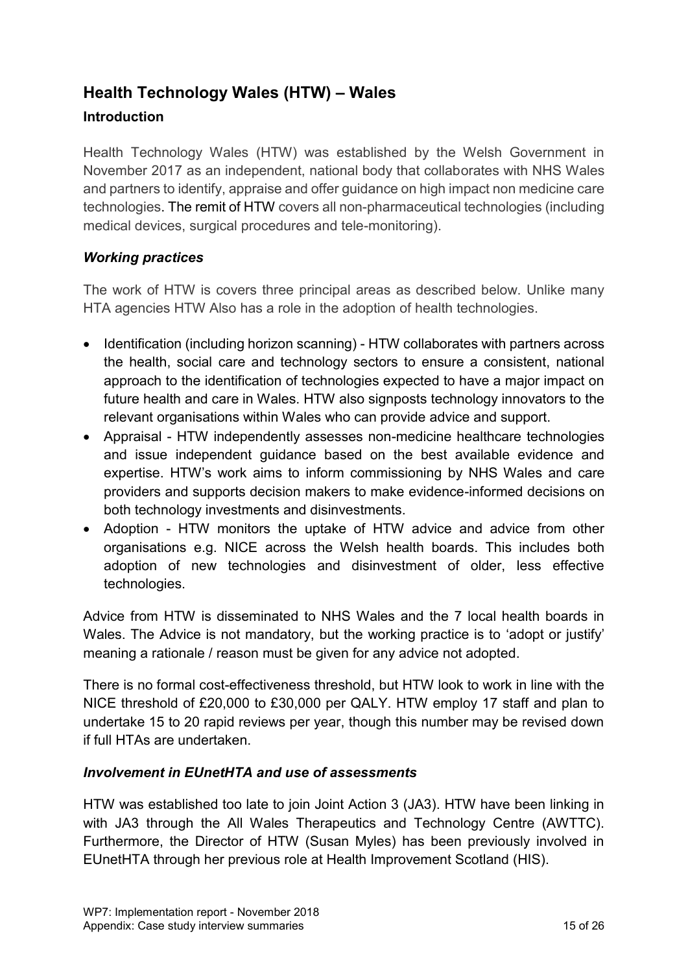# <span id="page-14-0"></span>**Health Technology Wales (HTW) – Wales**

# **Introduction**

Health Technology Wales (HTW) was established by the Welsh Government in November 2017 as an independent, national body that collaborates with NHS Wales and partners to identify, appraise and offer guidance on high impact non medicine care technologies. The remit of HTW covers all non-pharmaceutical technologies (including medical devices, surgical procedures and tele-monitoring).

# *Working practices*

The work of HTW is covers three principal areas as described below. Unlike many HTA agencies HTW Also has a role in the adoption of health technologies.

- Identification (including horizon scanning) HTW collaborates with partners across the health, social care and technology sectors to ensure a consistent, national approach to the identification of technologies expected to have a major impact on future health and care in Wales. HTW also signposts technology innovators to the relevant organisations within Wales who can provide advice and support.
- Appraisal HTW independently assesses non-medicine healthcare technologies and issue independent guidance based on the best available evidence and expertise. HTW's work aims to inform commissioning by NHS Wales and care providers and supports decision makers to make evidence-informed decisions on both technology investments and disinvestments.
- Adoption HTW monitors the uptake of HTW advice and advice from other organisations e.g. NICE across the Welsh health boards. This includes both adoption of new technologies and disinvestment of older, less effective technologies.

Advice from HTW is disseminated to NHS Wales and the 7 local health boards in Wales. The Advice is not mandatory, but the working practice is to 'adopt or justify' meaning a rationale / reason must be given for any advice not adopted.

There is no formal cost-effectiveness threshold, but HTW look to work in line with the NICE threshold of £20,000 to £30,000 per QALY. HTW employ 17 staff and plan to undertake 15 to 20 rapid reviews per year, though this number may be revised down if full HTAs are undertaken.

# *Involvement in EUnetHTA and use of assessments*

HTW was established too late to join Joint Action 3 (JA3). HTW have been linking in with JA3 through the All Wales Therapeutics and Technology Centre (AWTTC). Furthermore, the Director of HTW (Susan Myles) has been previously involved in EUnetHTA through her previous role at Health Improvement Scotland (HIS).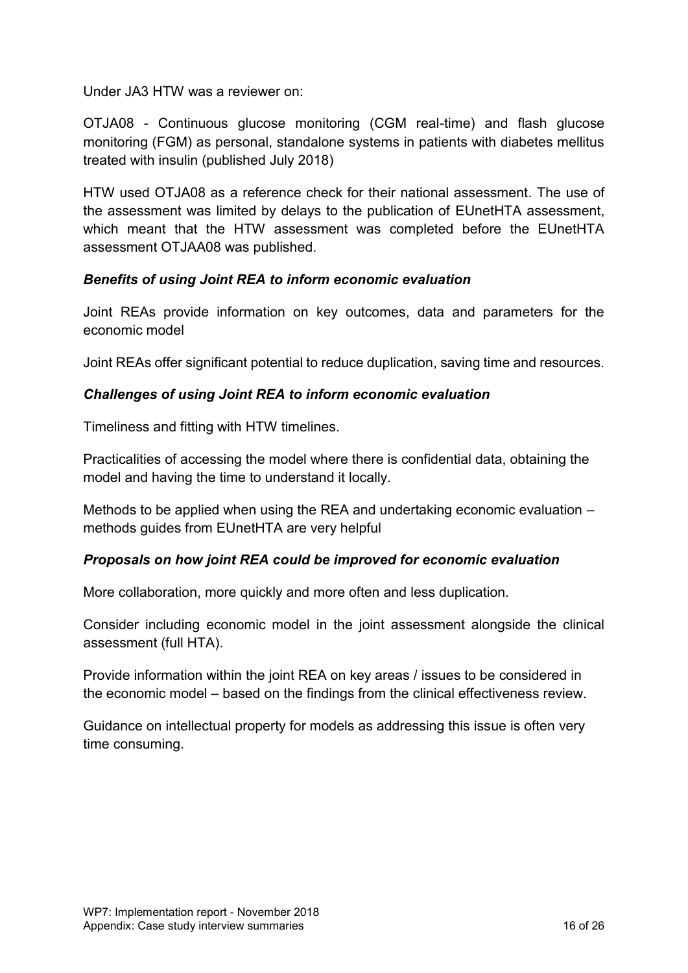Under JA3 HTW was a reviewer on:

OTJA08 - Continuous glucose monitoring (CGM real-time) and flash glucose monitoring (FGM) as personal, standalone systems in patients with diabetes mellitus treated with insulin (published July 2018)

HTW used OTJA08 as a reference check for their national assessment. The use of the assessment was limited by delays to the publication of EUnetHTA assessment, which meant that the HTW assessment was completed before the EUnetHTA assessment OTJAA08 was published.

# *Benefits of using Joint REA to inform economic evaluation*

Joint REAs provide information on key outcomes, data and parameters for the economic model

Joint REAs offer significant potential to reduce duplication, saving time and resources.

# *Challenges of using Joint REA to inform economic evaluation*

Timeliness and fitting with HTW timelines.

Practicalities of accessing the model where there is confidential data, obtaining the model and having the time to understand it locally.

Methods to be applied when using the REA and undertaking economic evaluation – methods guides from EUnetHTA are very helpful

# *Proposals on how joint REA could be improved for economic evaluation*

More collaboration, more quickly and more often and less duplication.

Consider including economic model in the joint assessment alongside the clinical assessment (full HTA).

Provide information within the joint REA on key areas / issues to be considered in the economic model – based on the findings from the clinical effectiveness review.

Guidance on intellectual property for models as addressing this issue is often very time consuming.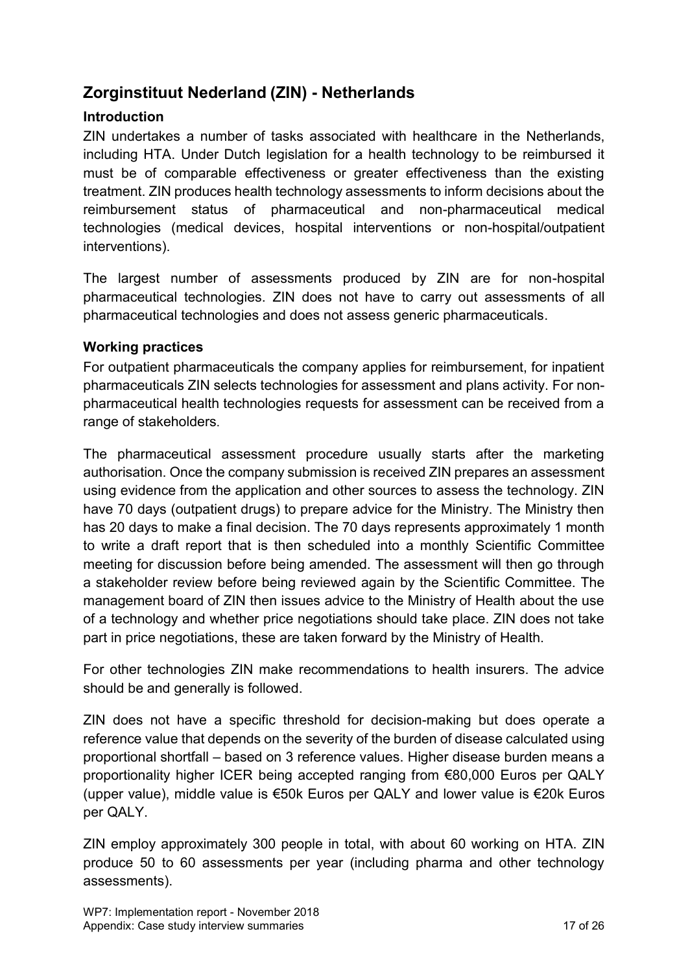# <span id="page-16-0"></span>**Zorginstituut Nederland (ZIN) - Netherlands**

# **Introduction**

ZIN undertakes a number of tasks associated with healthcare in the Netherlands, including HTA. Under Dutch legislation for a health technology to be reimbursed it must be of comparable effectiveness or greater effectiveness than the existing treatment. ZIN produces health technology assessments to inform decisions about the reimbursement status of pharmaceutical and non-pharmaceutical medical technologies (medical devices, hospital interventions or non-hospital/outpatient interventions).

The largest number of assessments produced by ZIN are for non-hospital pharmaceutical technologies. ZIN does not have to carry out assessments of all pharmaceutical technologies and does not assess generic pharmaceuticals.

# **Working practices**

For outpatient pharmaceuticals the company applies for reimbursement, for inpatient pharmaceuticals ZIN selects technologies for assessment and plans activity. For nonpharmaceutical health technologies requests for assessment can be received from a range of stakeholders.

The pharmaceutical assessment procedure usually starts after the marketing authorisation. Once the company submission is received ZIN prepares an assessment using evidence from the application and other sources to assess the technology. ZIN have 70 days (outpatient drugs) to prepare advice for the Ministry. The Ministry then has 20 days to make a final decision. The 70 days represents approximately 1 month to write a draft report that is then scheduled into a monthly Scientific Committee meeting for discussion before being amended. The assessment will then go through a stakeholder review before being reviewed again by the Scientific Committee. The management board of ZIN then issues advice to the Ministry of Health about the use of a technology and whether price negotiations should take place. ZIN does not take part in price negotiations, these are taken forward by the Ministry of Health.

For other technologies ZIN make recommendations to health insurers. The advice should be and generally is followed.

ZIN does not have a specific threshold for decision-making but does operate a reference value that depends on the severity of the burden of disease calculated using proportional shortfall – based on 3 reference values. Higher disease burden means a proportionality higher ICER being accepted ranging from €80,000 Euros per QALY (upper value), middle value is €50k Euros per QALY and lower value is €20k Euros per QALY.

ZIN employ approximately 300 people in total, with about 60 working on HTA. ZIN produce 50 to 60 assessments per year (including pharma and other technology assessments).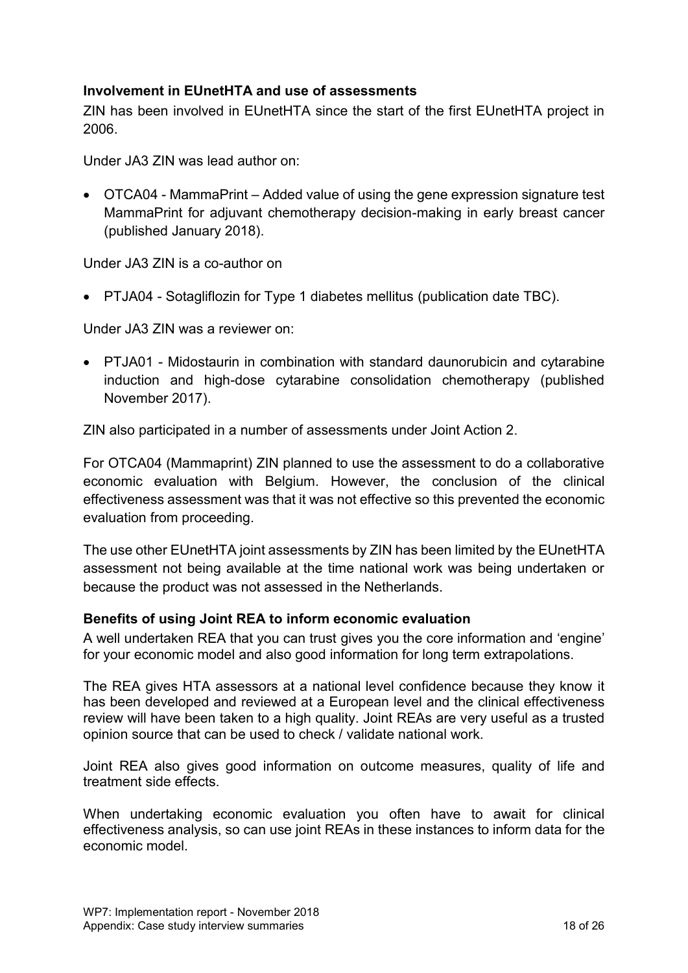# **Involvement in EUnetHTA and use of assessments**

ZIN has been involved in EUnetHTA since the start of the first EUnetHTA project in 2006.

Under JA3 ZIN was lead author on:

 OTCA04 - MammaPrint – Added value of using the gene expression signature test MammaPrint for adjuvant chemotherapy decision-making in early breast cancer (published January 2018).

Under JA3 ZIN is a co-author on

PTJA04 - Sotagliflozin for Type 1 diabetes mellitus (publication date TBC).

Under JA3 ZIN was a reviewer on:

 PTJA01 - Midostaurin in combination with standard daunorubicin and cytarabine induction and high-dose cytarabine consolidation chemotherapy (published November 2017).

ZIN also participated in a number of assessments under Joint Action 2.

For OTCA04 (Mammaprint) ZIN planned to use the assessment to do a collaborative economic evaluation with Belgium. However, the conclusion of the clinical effectiveness assessment was that it was not effective so this prevented the economic evaluation from proceeding.

The use other EUnetHTA joint assessments by ZIN has been limited by the EUnetHTA assessment not being available at the time national work was being undertaken or because the product was not assessed in the Netherlands.

#### **Benefits of using Joint REA to inform economic evaluation**

A well undertaken REA that you can trust gives you the core information and 'engine' for your economic model and also good information for long term extrapolations.

The REA gives HTA assessors at a national level confidence because they know it has been developed and reviewed at a European level and the clinical effectiveness review will have been taken to a high quality. Joint REAs are very useful as a trusted opinion source that can be used to check / validate national work.

Joint REA also gives good information on outcome measures, quality of life and treatment side effects.

When undertaking economic evaluation you often have to await for clinical effectiveness analysis, so can use joint REAs in these instances to inform data for the economic model.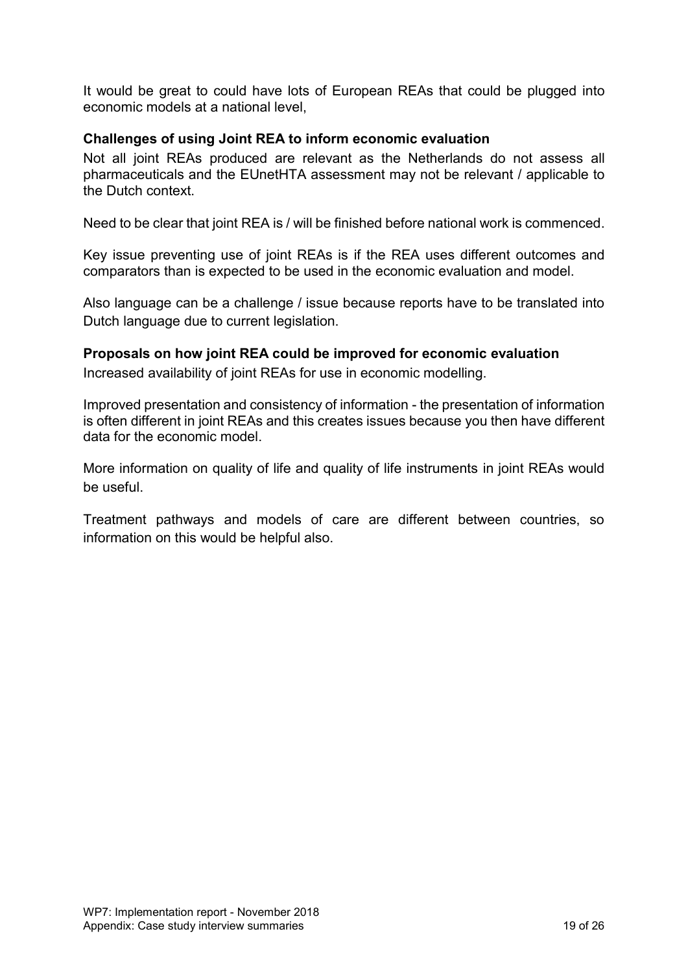It would be great to could have lots of European REAs that could be plugged into economic models at a national level,

#### **Challenges of using Joint REA to inform economic evaluation**

Not all joint REAs produced are relevant as the Netherlands do not assess all pharmaceuticals and the EUnetHTA assessment may not be relevant / applicable to the Dutch context.

Need to be clear that joint REA is / will be finished before national work is commenced.

Key issue preventing use of joint REAs is if the REA uses different outcomes and comparators than is expected to be used in the economic evaluation and model.

Also language can be a challenge / issue because reports have to be translated into Dutch language due to current legislation.

#### **Proposals on how joint REA could be improved for economic evaluation**

Increased availability of joint REAs for use in economic modelling.

Improved presentation and consistency of information - the presentation of information is often different in joint REAs and this creates issues because you then have different data for the economic model.

More information on quality of life and quality of life instruments in joint REAs would be useful.

Treatment pathways and models of care are different between countries, so information on this would be helpful also.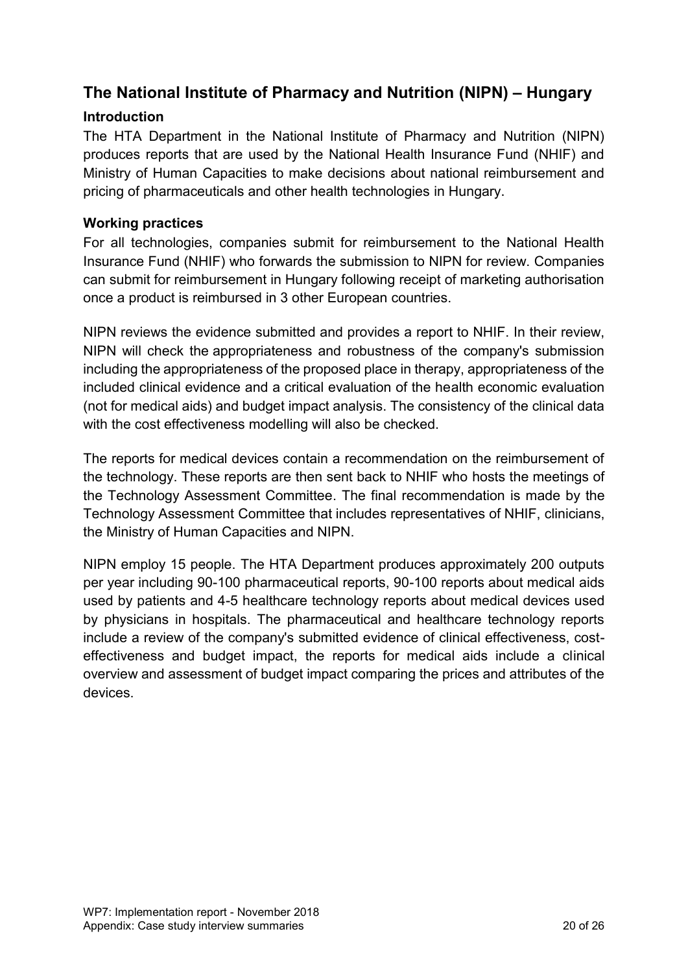# <span id="page-19-0"></span>**The National Institute of Pharmacy and Nutrition (NIPN) – Hungary**

# **Introduction**

The HTA Department in the National Institute of Pharmacy and Nutrition (NIPN) produces reports that are used by the National Health Insurance Fund (NHIF) and Ministry of Human Capacities to make decisions about national reimbursement and pricing of pharmaceuticals and other health technologies in Hungary.

# **Working practices**

For all technologies, companies submit for reimbursement to the National Health Insurance Fund (NHIF) who forwards the submission to NIPN for review. Companies can submit for reimbursement in Hungary following receipt of marketing authorisation once a product is reimbursed in 3 other European countries.

NIPN reviews the evidence submitted and provides a report to NHIF. In their review, NIPN will check the appropriateness and robustness of the company's submission including the appropriateness of the proposed place in therapy, appropriateness of the included clinical evidence and a critical evaluation of the health economic evaluation (not for medical aids) and budget impact analysis. The consistency of the clinical data with the cost effectiveness modelling will also be checked.

The reports for medical devices contain a recommendation on the reimbursement of the technology. These reports are then sent back to NHIF who hosts the meetings of the Technology Assessment Committee. The final recommendation is made by the Technology Assessment Committee that includes representatives of NHIF, clinicians, the Ministry of Human Capacities and NIPN.

NIPN employ 15 people. The HTA Department produces approximately 200 outputs per year including 90-100 pharmaceutical reports, 90-100 reports about medical aids used by patients and 4-5 healthcare technology reports about medical devices used by physicians in hospitals. The pharmaceutical and healthcare technology reports include a review of the company's submitted evidence of clinical effectiveness, costeffectiveness and budget impact, the reports for medical aids include a clinical overview and assessment of budget impact comparing the prices and attributes of the devices.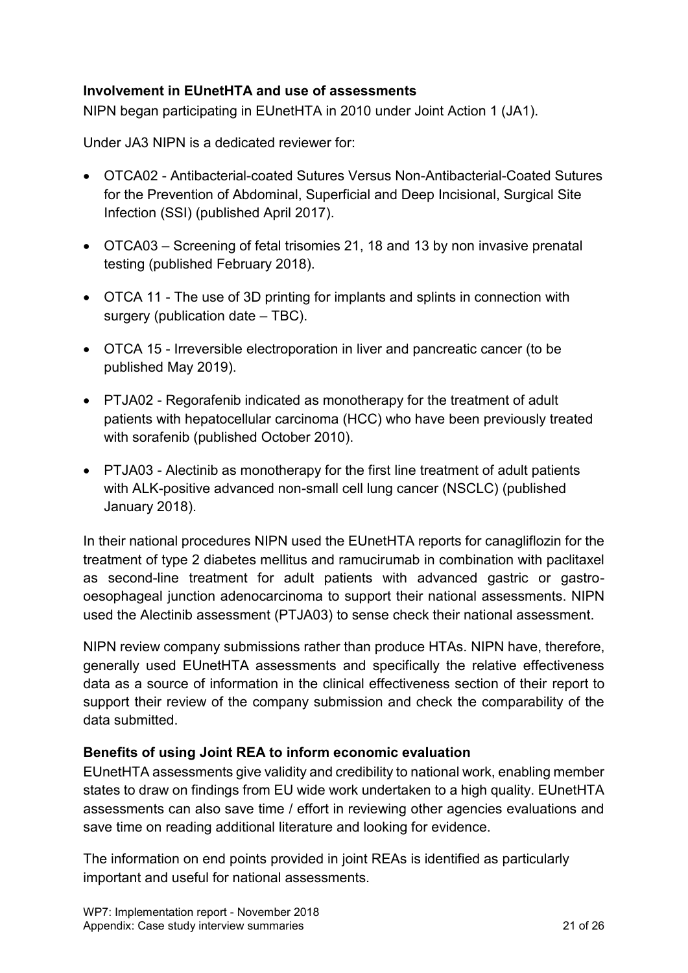# **Involvement in EUnetHTA and use of assessments**

NIPN began participating in EUnetHTA in 2010 under Joint Action 1 (JA1).

Under JA3 NIPN is a dedicated reviewer for:

- OTCA02 Antibacterial-coated Sutures Versus Non-Antibacterial-Coated Sutures for the Prevention of Abdominal, Superficial and Deep Incisional, Surgical Site Infection (SSI) (published April 2017).
- OTCA03 Screening of fetal trisomies 21, 18 and 13 by non invasive prenatal testing (published February 2018).
- OTCA 11 The use of 3D printing for implants and splints in connection with surgery (publication date – TBC).
- OTCA 15 Irreversible electroporation in liver and pancreatic cancer (to be published May 2019).
- PTJA02 Regorafenib indicated as monotherapy for the treatment of adult patients with hepatocellular carcinoma (HCC) who have been previously treated with sorafenib (published October 2010).
- PTJA03 Alectinib as monotherapy for the first line treatment of adult patients with ALK-positive advanced non-small cell lung cancer (NSCLC) (published January 2018).

In their national procedures NIPN used the EUnetHTA reports for canagliflozin for the treatment of type 2 diabetes mellitus and ramucirumab in combination with paclitaxel as second-line treatment for adult patients with advanced gastric or gastrooesophageal junction adenocarcinoma to support their national assessments. NIPN used the Alectinib assessment (PTJA03) to sense check their national assessment.

NIPN review company submissions rather than produce HTAs. NIPN have, therefore, generally used EUnetHTA assessments and specifically the relative effectiveness data as a source of information in the clinical effectiveness section of their report to support their review of the company submission and check the comparability of the data submitted.

# **Benefits of using Joint REA to inform economic evaluation**

EUnetHTA assessments give validity and credibility to national work, enabling member states to draw on findings from EU wide work undertaken to a high quality. EUnetHTA assessments can also save time / effort in reviewing other agencies evaluations and save time on reading additional literature and looking for evidence.

The information on end points provided in joint REAs is identified as particularly important and useful for national assessments.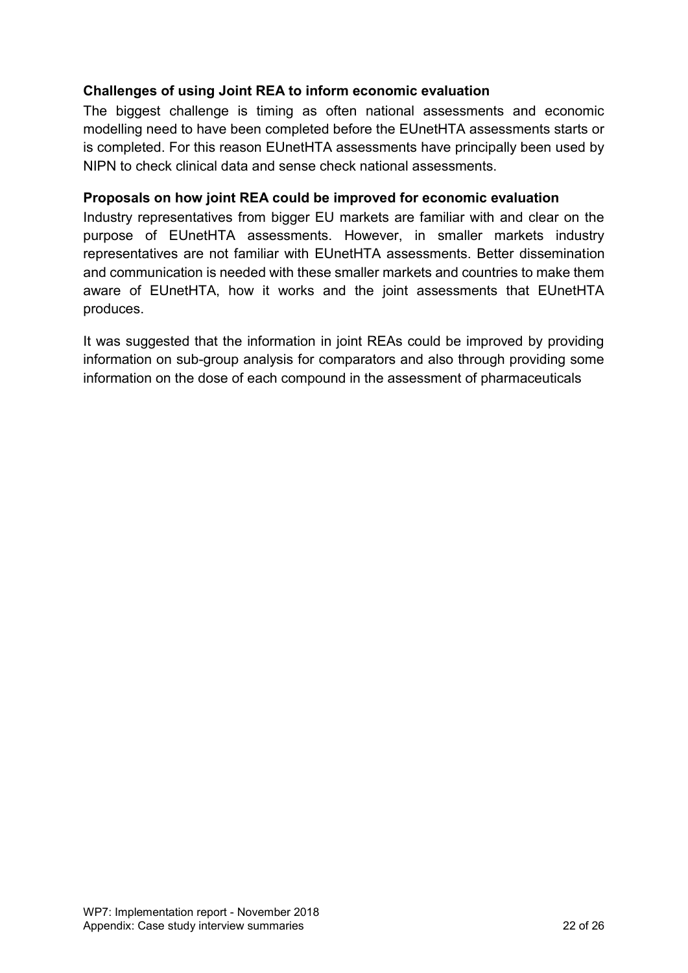# **Challenges of using Joint REA to inform economic evaluation**

The biggest challenge is timing as often national assessments and economic modelling need to have been completed before the EUnetHTA assessments starts or is completed. For this reason EUnetHTA assessments have principally been used by NIPN to check clinical data and sense check national assessments.

#### **Proposals on how joint REA could be improved for economic evaluation**

Industry representatives from bigger EU markets are familiar with and clear on the purpose of EUnetHTA assessments. However, in smaller markets industry representatives are not familiar with EUnetHTA assessments. Better dissemination and communication is needed with these smaller markets and countries to make them aware of EUnetHTA, how it works and the joint assessments that EUnetHTA produces.

It was suggested that the information in joint REAs could be improved by providing information on sub-group analysis for comparators and also through providing some information on the dose of each compound in the assessment of pharmaceuticals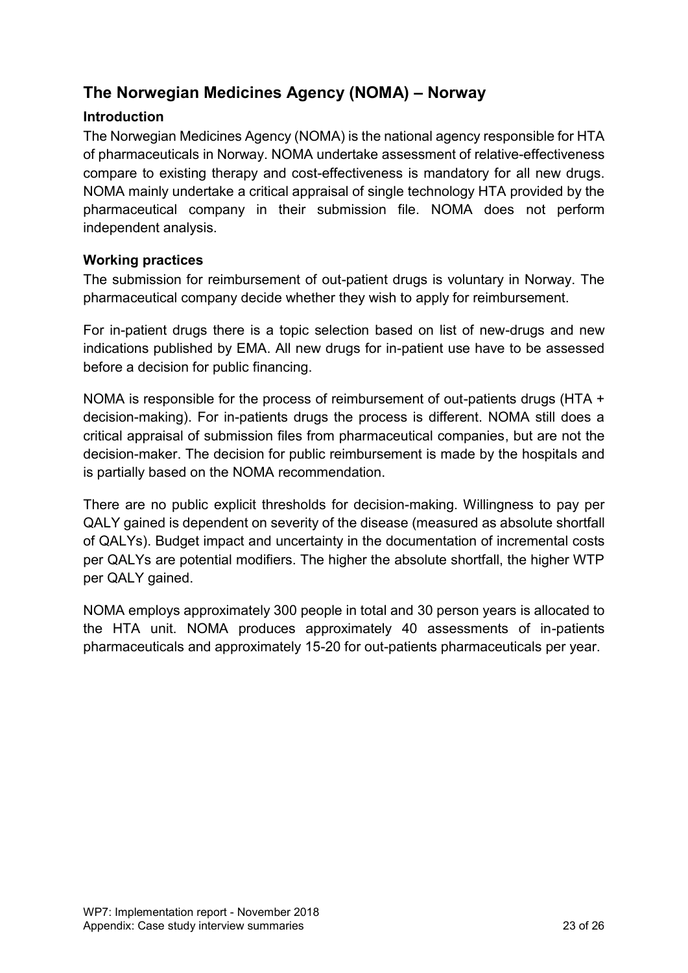# <span id="page-22-0"></span>**The Norwegian Medicines Agency (NOMA) – Norway**

# **Introduction**

The Norwegian Medicines Agency (NOMA) is the national agency responsible for HTA of pharmaceuticals in Norway. NOMA undertake assessment of relative-effectiveness compare to existing therapy and cost-effectiveness is mandatory for all new drugs. NOMA mainly undertake a critical appraisal of single technology HTA provided by the pharmaceutical company in their submission file. NOMA does not perform independent analysis.

# **Working practices**

The submission for reimbursement of out-patient drugs is voluntary in Norway. The pharmaceutical company decide whether they wish to apply for reimbursement.

For in-patient drugs there is a topic selection based on list of new-drugs and new indications published by EMA. All new drugs for in-patient use have to be assessed before a decision for public financing.

NOMA is responsible for the process of reimbursement of out-patients drugs (HTA + decision-making). For in-patients drugs the process is different. NOMA still does a critical appraisal of submission files from pharmaceutical companies, but are not the decision-maker. The decision for public reimbursement is made by the hospitals and is partially based on the NOMA recommendation.

There are no public explicit thresholds for decision-making. Willingness to pay per QALY gained is dependent on severity of the disease (measured as absolute shortfall of QALYs). Budget impact and uncertainty in the documentation of incremental costs per QALYs are potential modifiers. The higher the absolute shortfall, the higher WTP per QALY gained.

NOMA employs approximately 300 people in total and 30 person years is allocated to the HTA unit. NOMA produces approximately 40 assessments of in-patients pharmaceuticals and approximately 15-20 for out-patients pharmaceuticals per year.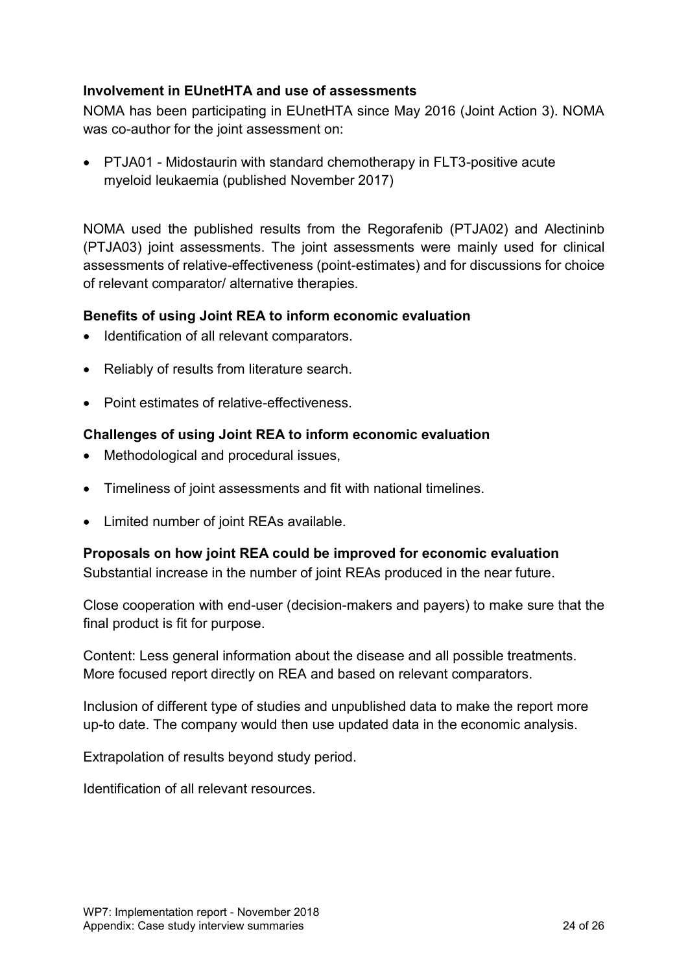# **Involvement in EUnetHTA and use of assessments**

NOMA has been participating in EUnetHTA since May 2016 (Joint Action 3). NOMA was co-author for the joint assessment on:

 PTJA01 - Midostaurin with standard chemotherapy in FLT3-positive acute myeloid leukaemia (published November 2017)

NOMA used the published results from the Regorafenib (PTJA02) and Alectininb (PTJA03) joint assessments. The joint assessments were mainly used for clinical assessments of relative-effectiveness (point-estimates) and for discussions for choice of relevant comparator/ alternative therapies.

#### **Benefits of using Joint REA to inform economic evaluation**

- Identification of all relevant comparators.
- Reliably of results from literature search.
- Point estimates of relative-effectiveness

#### **Challenges of using Joint REA to inform economic evaluation**

- Methodological and procedural issues,
- Timeliness of joint assessments and fit with national timelines.
- Limited number of joint REAs available.

#### **Proposals on how joint REA could be improved for economic evaluation**

Substantial increase in the number of joint REAs produced in the near future.

Close cooperation with end-user (decision-makers and payers) to make sure that the final product is fit for purpose.

Content: Less general information about the disease and all possible treatments. More focused report directly on REA and based on relevant comparators.

Inclusion of different type of studies and unpublished data to make the report more up-to date. The company would then use updated data in the economic analysis.

Extrapolation of results beyond study period.

Identification of all relevant resources.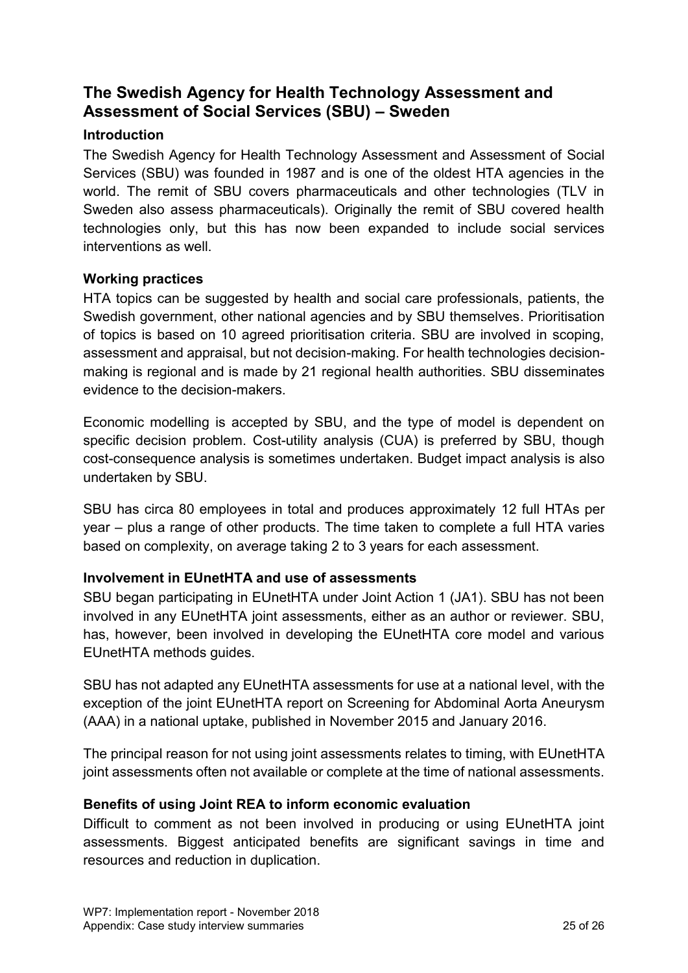# <span id="page-24-0"></span>**The Swedish Agency for Health Technology Assessment and Assessment of Social Services (SBU) – Sweden**

# **Introduction**

The Swedish Agency for Health Technology Assessment and Assessment of Social Services (SBU) was founded in 1987 and is one of the oldest HTA agencies in the world. The remit of SBU covers pharmaceuticals and other technologies (TLV in Sweden also assess pharmaceuticals). Originally the remit of SBU covered health technologies only, but this has now been expanded to include social services interventions as well.

# **Working practices**

HTA topics can be suggested by health and social care professionals, patients, the Swedish government, other national agencies and by SBU themselves. Prioritisation of topics is based on 10 agreed prioritisation criteria. SBU are involved in scoping, assessment and appraisal, but not decision-making. For health technologies decisionmaking is regional and is made by 21 regional health authorities. SBU disseminates evidence to the decision-makers.

Economic modelling is accepted by SBU, and the type of model is dependent on specific decision problem. Cost-utility analysis (CUA) is preferred by SBU, though cost-consequence analysis is sometimes undertaken. Budget impact analysis is also undertaken by SBU.

SBU has circa 80 employees in total and produces approximately 12 full HTAs per year – plus a range of other products. The time taken to complete a full HTA varies based on complexity, on average taking 2 to 3 years for each assessment.

# **Involvement in EUnetHTA and use of assessments**

SBU began participating in EUnetHTA under Joint Action 1 (JA1). SBU has not been involved in any EUnetHTA joint assessments, either as an author or reviewer. SBU, has, however, been involved in developing the EUnetHTA core model and various EUnetHTA methods guides.

SBU has not adapted any EUnetHTA assessments for use at a national level, with the exception of the joint EUnetHTA report on Screening for Abdominal Aorta Aneurysm (AAA) in a national uptake, published in November 2015 and January 2016.

The principal reason for not using joint assessments relates to timing, with EUnetHTA joint assessments often not available or complete at the time of national assessments.

# **Benefits of using Joint REA to inform economic evaluation**

Difficult to comment as not been involved in producing or using EUnetHTA joint assessments. Biggest anticipated benefits are significant savings in time and resources and reduction in duplication.